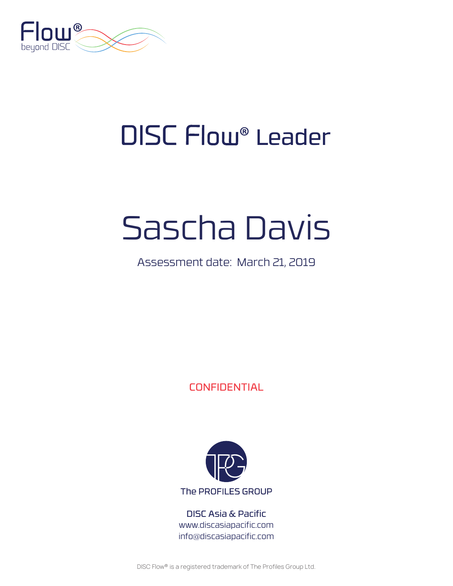

# DISC Flow® Leader

# Sascha Davis

### Assessment date: March 21, 2019

CONFIDENTIAL



DISC Asia & Pacific www.discasiapacific.com info@discasiapacific.com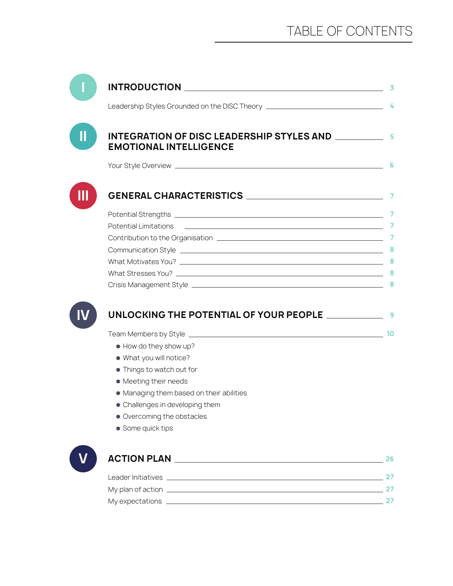| Leadership Styles Grounded on the DISC Theory ___________________________________ 4                                                                     |  |
|---------------------------------------------------------------------------------------------------------------------------------------------------------|--|
| <b>EMOTIONAL INTELLIGENCE</b>                                                                                                                           |  |
|                                                                                                                                                         |  |
|                                                                                                                                                         |  |
|                                                                                                                                                         |  |
| <b>Potential Limitations</b><br><u> 1990 - Jan Andrea Sterling, mars and de la contradictor de la contradictor de la contradictor de la contradicto</u> |  |
|                                                                                                                                                         |  |
|                                                                                                                                                         |  |
|                                                                                                                                                         |  |
|                                                                                                                                                         |  |
|                                                                                                                                                         |  |
|                                                                                                                                                         |  |
| UNLOCKING THE POTENTIAL OF YOUR PEOPLE ________________9                                                                                                |  |
| • How do they show up?                                                                                                                                  |  |
| . What you will notice?                                                                                                                                 |  |
| • Things to watch out for                                                                                                                               |  |
| • Meeting their needs                                                                                                                                   |  |
| • Managing them based on their abilities                                                                                                                |  |
| • Challenges in developing them                                                                                                                         |  |
| • Overcoming the obstacles                                                                                                                              |  |
| • Some quick tips                                                                                                                                       |  |
|                                                                                                                                                         |  |
| Leader Initiatives 27                                                                                                                                   |  |
|                                                                                                                                                         |  |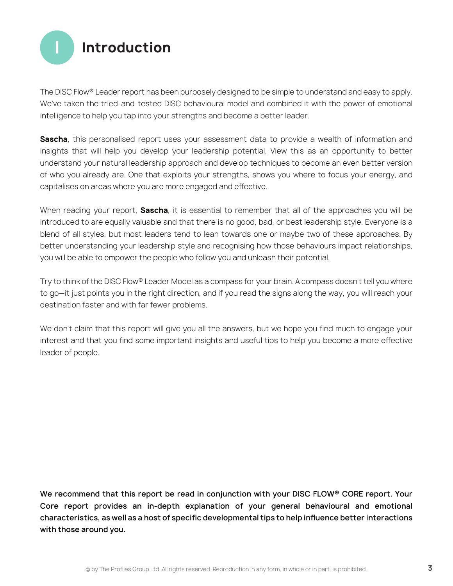

The DISC Flow® Leader report has been purposely designed to be simple to understand and easy to apply. We've taken the tried-and-tested DISC behavioural model and combined it with the power of emotional intelligence to help you tap into your strengths and become a better leader.

**Sascha**, this personalised report uses your assessment data to provide a wealth of information and insights that will help you develop your leadership potential. View this as an opportunity to better understand your natural leadership approach and develop techniques to become an even better version of who you already are. One that exploits your strengths, shows you where to focus your energy, and capitalises on areas where you are more engaged and effective.

When reading your report, **Sascha**, it is essential to remember that all of the approaches you will be introduced to are equally valuable and that there is no good, bad, or best leadership style. Everyone is a blend of all styles, but most leaders tend to lean towards one or maybe two of these approaches. By better understanding your leadership style and recognising how those behaviours impact relationships, you will be able to empower the people who follow you and unleash their potential.

Try to think of the DISC Flow® Leader Model as a compass for your brain. A compass doesn't tell you where to go—it just points you in the right direction, and if you read the signs along the way, you will reach your destination faster and with far fewer problems.

We don't claim that this report will give you all the answers, but we hope you find much to engage your interest and that you find some important insights and useful tips to help you become a more effective leader of people.

**We recommend that this report be read in conjunction with your DISC FLOW® CORE report. Your Core report provides an in-depth explanation of your general behavioural and emotional characteristics, as well as a host of specific developmental tips to help influence better interactions with those around you.**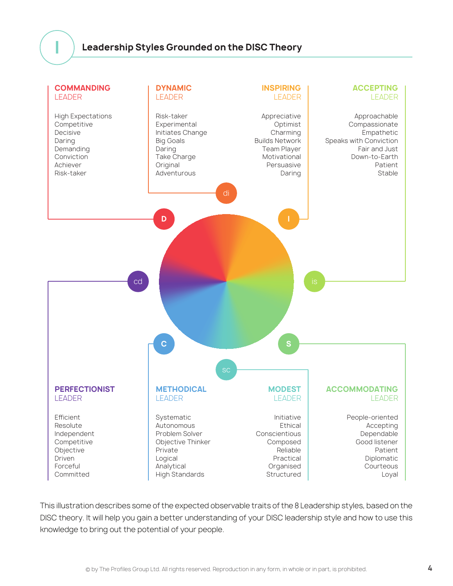### **Leadership Styles Grounded on the DISC Theory**



This illustration describes some of the expected observable traits of the 8 Leadership styles, based on the DISC theory. It will help you gain a better understanding of your DISC leadership style and how to use this knowledge to bring out the potential of your people.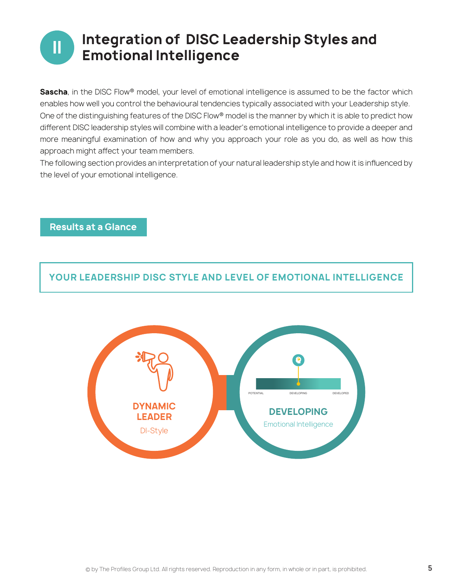# **II** Integration of DISC Leadership Styles and **Emotional Intelligence**

**Sascha**, in the DISC Flow® model, your level of emotional intelligence is assumed to be the factor which enables how well you control the behavioural tendencies typically associated with your Leadership style. One of the distinguishing features of the DISC Flow® model is the manner by which it is able to predict how different DISC leadership styles will combine with a leader's emotional intelligence to provide a deeper and more meaningful examination of how and why you approach your role as you do, as well as how this approach might affect your team members.

The following section provides an interpretation of your natural leadership style and how it is influenced by the level of your emotional intelligence.



### **Results at a Glance**

**YOUR LEADERSHIP DISC STYLE AND LEVEL OF EMOTIONAL INTELLIGENCE**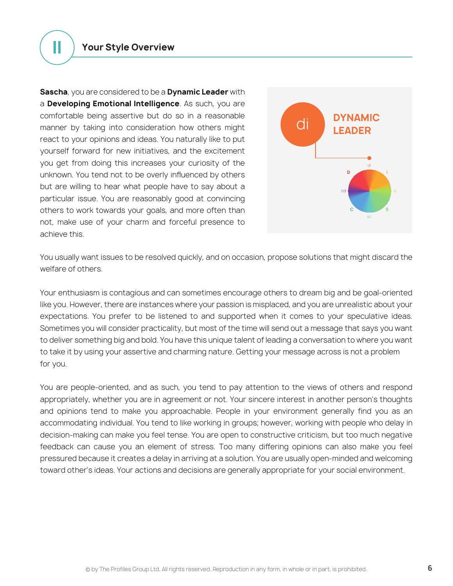**II Your Style Overview**

**Sascha**, you are considered to be a **Dynamic Leader** with a **Developing Emotional Intelligence**. As such, you are comfortable being assertive but do so in a reasonable manner by taking into consideration how others might react to your opinions and ideas. You naturally like to put yourself forward for new initiatives, and the excitement you get from doing this increases your curiosity of the unknown. You tend not to be overly influenced by others but are willing to hear what people have to say about a particular issue. You are reasonably good at convincing others to work towards your goals, and more often than not, make use of your charm and forceful presence to achieve this.



You usually want issues to be resolved quickly, and on occasion, propose solutions that might discard the welfare of others.

Your enthusiasm is contagious and can sometimes encourage others to dream big and be goal-oriented like you. However, there are instances where your passion is misplaced, and you are unrealistic about your expectations. You prefer to be listened to and supported when it comes to your speculative ideas. Sometimes you will consider practicality, but most of the time will send out a message that says you want to deliver something big and bold. You have this unique talent of leading a conversation to where you want to take it by using your assertive and charming nature. Getting your message across is not a problem for you.

You are people-oriented, and as such, you tend to pay attention to the views of others and respond appropriately, whether you are in agreement or not. Your sincere interest in another person's thoughts and opinions tend to make you approachable. People in your environment generally find you as an accommodating individual. You tend to like working in groups; however, working with people who delay in decision-making can make you feel tense. You are open to constructive criticism, but too much negative feedback can cause you an element of stress. Too many differing opinions can also make you feel pressured because it creates a delay in arriving at a solution. You are usually open-minded and welcoming toward other's ideas. Your actions and decisions are generally appropriate for your social environment.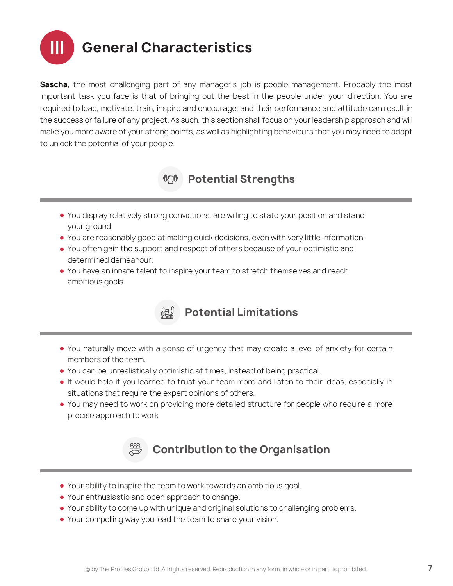

**Sascha**, the most challenging part of any manager's job is people management. Probably the most important task you face is that of bringing out the best in the people under your direction. You are required to lead, motivate, train, inspire and encourage; and their performance and attitude can result in the success or failure of any project. As such, this section shall focus on your leadership approach and will make you more aware of your strong points, as well as highlighting behaviours that you may need to adapt to unlock the potential of your people.



- You display relatively strong convictions, are willing to state your position and stand your ground.
- You are reasonably good at making quick decisions, even with very little information.
- You often gain the support and respect of others because of your optimistic and determined demeanour.
- You have an innate talent to inspire your team to stretch themselves and reach ambitious goals.



- You naturally move with a sense of urgency that may create a level of anxiety for certain members of the team.
- You can be unrealistically optimistic at times, instead of being practical.
- It would help if you learned to trust your team more and listen to their ideas, especially in situations that require the expert opinions of others.
- You may need to work on providing more detailed structure for people who require a more precise approach to work



- Your ability to inspire the team to work towards an ambitious goal.
- Your enthusiastic and open approach to change.
- Your ability to come up with unique and original solutions to challenging problems.
- Your compelling way you lead the team to share your vision.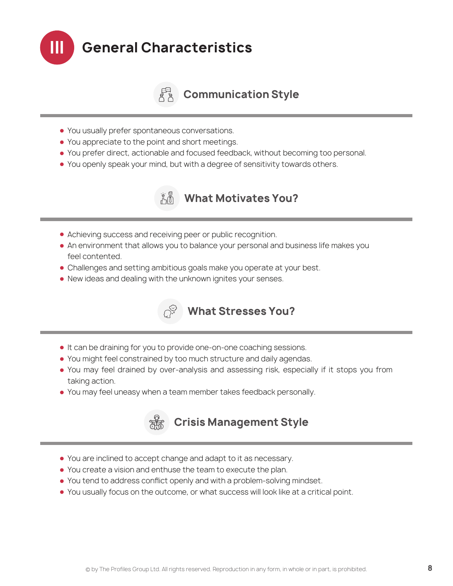

### *A***<sub>A</sub>** Communication Style

- You usually prefer spontaneous conversations.
- You appreciate to the point and short meetings.
- You prefer direct, actionable and focused feedback, without becoming too personal.
- You openly speak your mind, but with a degree of sensitivity towards others.



- Achieving success and receiving peer or public recognition.
- An environment that allows you to balance your personal and business life makes you feel contented.
- Challenges and setting ambitious goals make you operate at your best.
- New ideas and dealing with the unknown ignites your senses.



- It can be draining for you to provide one-on-one coaching sessions.
- You might feel constrained by too much structure and daily agendas.
- You may feel drained by over-analysis and assessing risk, especially if it stops you from taking action.
- You may feel uneasy when a team member takes feedback personally.



- 
- You are inclined to accept change and adapt to it as necessary.
- You create a vision and enthuse the team to execute the plan.
- You tend to address conflict openly and with a problem-solving mindset.
- You usually focus on the outcome, or what success will look like at a critical point.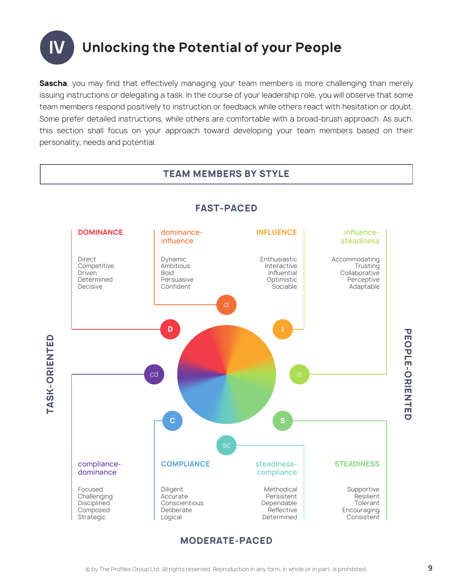

**Sascha**, you may find that effectively managing your team members is more challenging than merely issuing instructions or delegating a task. In the course of your leadership role, you will observe that some team members respond positively to instruction or feedback while others react with hesitation or doubt. Some prefer detailed instructions, while others are comfortable with a broad-brush approach. As such, this section shall focus on your approach toward developing your team members based on their personality, needs and potential.

**TEAM MEMBERS BY STYLE** 

#### **FAST-PACED DOMINANCE** Direct Competitive Driven Determined Decisive dominanceinfluence Dynamic Ambitious Bold Persuasive Confident **INFLUENCE** Enthusiastic Interactive Influential Optimistic Sociable influencesteadiness Accommodating Trusting **Collaborative** Perceptive Adaptable compliancedominance Focused Challenging **Disciplined** Composed Strategic **COMPLIANCE** Diligent Accurate Conscientious Deliberate Logical steadinesscompliance Methodical Persistent Dependable **Reflective** Determined **STEADINESS** Supportive Resilient Tolerant **Encouraging Consistent D** cd is a set of the set of the set of the set of the set of the set of the set of the set of the set of the set **C S**

**TASK-ORIENTED**

**TASK-ORIENTED** 

**MODERATE-PACED**

**PEOPLE-ORIENTED**

**PEOPLE-ORIENTED**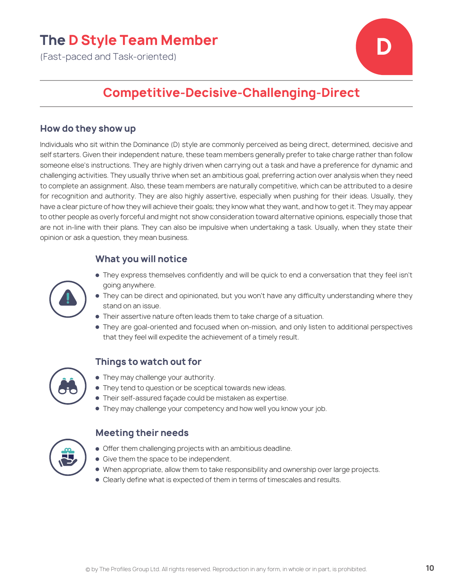### **The D Style Team Member**

(Fast-paced and Task-oriented)



### **Competitive-Decisive-Challenging-Direct**

### **How do they show up**

Individuals who sit within the Dominance (D) style are commonly perceived as being direct, determined, decisive and self starters. Given their independent nature, these team members generally prefer to take charge rather than follow someone else's instructions. They are highly driven when carrying out a task and have a preference for dynamic and challenging activities. They usually thrive when set an ambitious goal, preferring action over analysis when they need to complete an assignment. Also, these team members are naturally competitive, which can be attributed to a desire for recognition and authority. They are also highly assertive, especially when pushing for their ideas. Usually, they have a clear picture of how they will achieve their goals; they know what they want, and how to get it. They may appear to other people as overly forceful and might not show consideration toward alternative opinions, especially those that are not in-line with their plans. They can also be impulsive when undertaking a task. Usually, when they state their opinion or ask a question, they mean business.

### **What you will notice**



- They express themselves confidently and will be quick to end a conversation that they feel isn't going anywhere.
- They can be direct and opinionated, but you won't have any difficulty understanding where they stand on an issue.
- **Their assertive nature often leads them to take charge of a situation.**
- They are goal-oriented and focused when on-mission, and only listen to additional perspectives that they feel will expedite the achievement of a timely result.

### **Things to watch out for**



- They may challenge your authority.
- $\bullet$  They tend to question or be sceptical towards new ideas.
- Their self-assured façade could be mistaken as expertise.
- They may challenge your competency and how well you know your job.

- $\bullet$  Offer them challenging projects with an ambitious deadline.
- **Give them the space to be independent.**
- When appropriate, allow them to take responsibility and ownership over large projects.
- Clearly define what is expected of them in terms of timescales and results.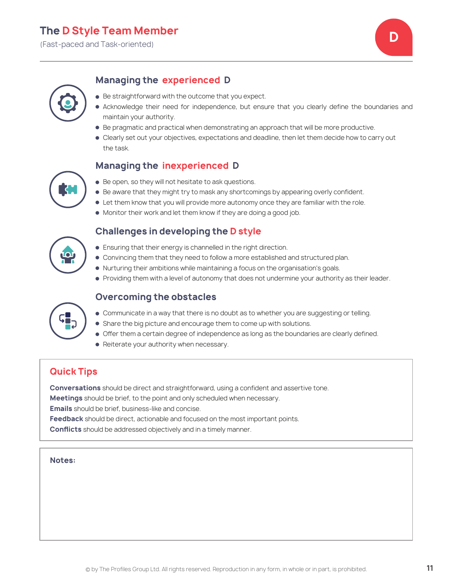(Fast-paced and Task-oriented) **D**



### **Managing the experienced D**

- **Be straightforward with the outcome that you expect.**
- Acknowledge their need for independence, but ensure that you clearly define the boundaries and maintain your authority.
- $\bullet$  Be pragmatic and practical when demonstrating an approach that will be more productive.
- Clearly set out your objectives, expectations and deadline, then let them decide how to carry out the task.

### **Managing the inexperienced D**



● Be open, so they will not hesitate to ask questions.

**Challenges in developing the D style**

- **Be aware that they might try to mask any shortcomings by appearing overly confident.**
- Let them know that you will provide more autonomy once they are familiar with the role.
- $\bullet$  Monitor their work and let them know if they are doing a good job.

- Ensuring that their energy is channelled in the right direction.
- Convincing them that they need to follow a more established and structured plan.
- Nurturing their ambitions while maintaining a focus on the organisation's goals.
- Providing them with a level of autonomy that does not undermine your authority as their leader.

### **Overcoming the obstacles**



- Share the big picture and encourage them to come up with solutions.
- Offer them a certain degree of independence as long as the boundaries are clearly defined.
- Reiterate your authority when necessary.

### **Quick Tips**

**Conversations** should be direct and straightforward, using a confident and assertive tone.

**Meetings** should be brief, to the point and only scheduled when necessary.

**Emails** should be brief, business-like and concise.

**Feedback** should be direct, actionable and focused on the most important points.

**Conflicts** should be addressed objectively and in a timely manner.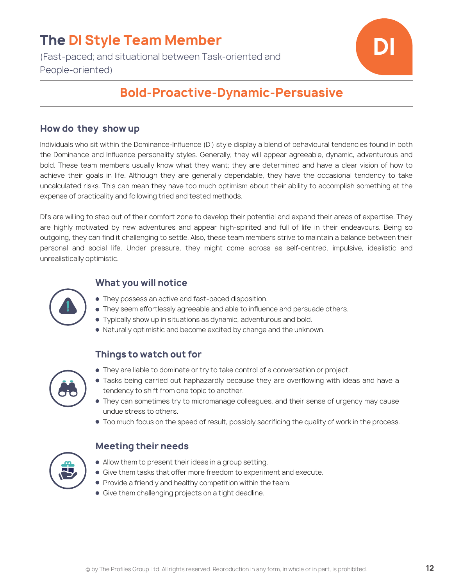## **The DI Style Team Member**

(Fast-paced; and situational between Task-oriented and People-oriented)



### **Bold-Proactive-Dynamic-Persuasive**

### **How do they show up**

Individuals who sit within the Dominance-Influence (DI) style display a blend of behavioural tendencies found in both the Dominance and Influence personality styles. Generally, they will appear agreeable, dynamic, adventurous and bold. These team members usually know what they want; they are determined and have a clear vision of how to achieve their goals in life. Although they are generally dependable, they have the occasional tendency to take uncalculated risks. This can mean they have too much optimism about their ability to accomplish something at the expense of practicality and following tried and tested methods.

DI's are willing to step out of their comfort zone to develop their potential and expand their areas of expertise. They are highly motivated by new adventures and appear high-spirited and full of life in their endeavours. Being so outgoing, they can find it challenging to settle. Also, these team members strive to maintain a balance between their personal and social life. Under pressure, they might come across as self-centred, impulsive, idealistic and unrealistically optimistic.



### **What you will notice**

- They possess an active and fast-paced disposition.
- They seem effortlessly agreeable and able to influence and persuade others.
- Typically show up in situations as dynamic, adventurous and bold.
- Naturally optimistic and become excited by change and the unknown.

### **Things to watch out for**



- They are liable to dominate or try to take control of a conversation or project.
- Tasks being carried out haphazardly because they are overflowing with ideas and have a tendency to shift from one topic to another.
- They can sometimes try to micromanage colleagues, and their sense of urgency may cause undue stress to others.
- Too much focus on the speed of result, possibly sacrificing the quality of work in the process.

| ٥C |
|----|
|    |

- Allow them to present their ideas in a group setting.
- **Give them tasks that offer more freedom to experiment and execute.**
- **Provide a friendly and healthy competition within the team.**
- Give them challenging projects on a tight deadline.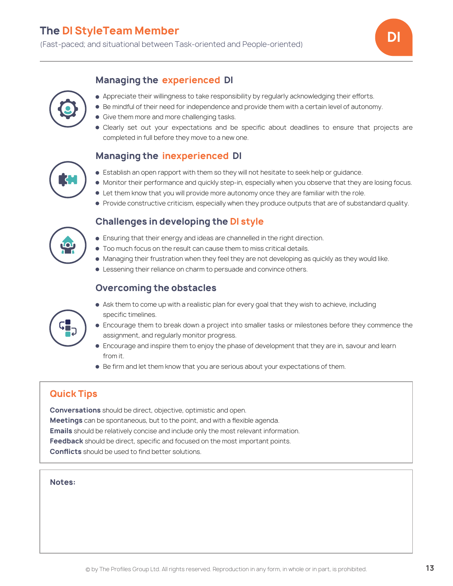

### **Managing the experienced DI**



- Appreciate their willingness to take responsibility by regularly acknowledging their efforts.
- Be mindful of their need for independence and provide them with a certain level of autonomy.
- **Give them more and more challenging tasks.**
- Clearly set out your expectations and be specific about deadlines to ensure that projects are completed in full before they move to a new one.

### **Managing the inexperienced DI**

- Establish an open rapport with them so they will not hesitate to seek help or guidance.
- Monitor their performance and quickly step-in, especially when you observe that they are losing focus.
- Let them know that you will provide more autonomy once they are familiar with the role.
- **Provide constructive criticism, especially when they produce outputs that are of substandard quality.**

### **Challenges in developing the DI style**



- $\bullet$  Too much focus on the result can cause them to miss critical details.
- $\bullet$  Managing their frustration when they feel they are not developing as quickly as they would like.
- **Example 1** Lessening their reliance on charm to persuade and convince others.

### **Overcoming the obstacles**



- Ask them to come up with a realistic plan for every goal that they wish to achieve, including specific timelines.
- Encourage them to break down a project into smaller tasks or milestones before they commence the assignment, and regularly monitor progress.
- Encourage and inspire them to enjoy the phase of development that they are in, savour and learn from it.
- Be firm and let them know that you are serious about your expectations of them.

### **Quick Tips**

**Conversations** should be direct, objective, optimistic and open. **Meetings** can be spontaneous, but to the point, and with a flexible agenda. **Emails** should be relatively concise and include only the most relevant information. **Feedback** should be direct, specific and focused on the most important points. **Conflicts** should be used to find better solutions.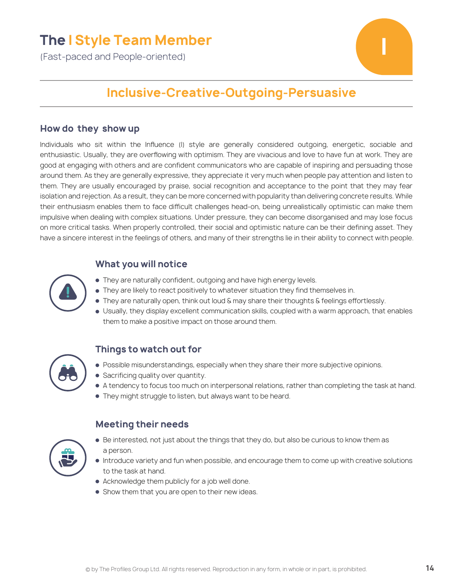### **The I Style Team Member**

(Fast-paced and People-oriented)



### **Inclusive-Creative-Outgoing-Persuasive**

#### **How do they show up**

Individuals who sit within the Influence (I) style are generally considered outgoing, energetic, sociable and enthusiastic. Usually, they are overflowing with optimism. They are vivacious and love to have fun at work. They are good at engaging with others and are confident communicators who are capable of inspiring and persuading those around them. As they are generally expressive, they appreciate it very much when people pay attention and listen to them. They are usually encouraged by praise, social recognition and acceptance to the point that they may fear isolation and rejection. As a result, they can be more concerned with popularity than delivering concrete results. While their enthusiasm enables them to face difficult challenges head-on, being unrealistically optimistic can make them impulsive when dealing with complex situations. Under pressure, they can become disorganised and may lose focus on more critical tasks. When properly controlled, their social and optimistic nature can be their defining asset. They have a sincere interest in the feelings of others, and many of their strengths lie in their ability to connect with people.

### **What you will notice**

- They are naturally confident, outgoing and have high energy levels.
	- They are likely to react positively to whatever situation they find themselves in.
	- $\bullet$  They are naturally open, think out loud & may share their thoughts & feelings effortlessly.
	- Usually, they display excellent communication skills, coupled with a warm approach, that enables them to make a positive impact on those around them.

### **Things to watch out for**

- **Possible misunderstandings, especially when they share their more subjective opinions.**
- Sacrificing quality over quantity.
- A tendency to focus too much on interpersonal relations, rather than completing the task at hand.
- They might struggle to listen, but always want to be heard.

- **Meeting their needs**
- Be interested, not just about the things that they do, but also be curious to know them as a person.
- Introduce variety and fun when possible, and encourage them to come up with creative solutions to the task at hand.
- Acknowledge them publicly for a job well done.
- **Show them that you are open to their new ideas.**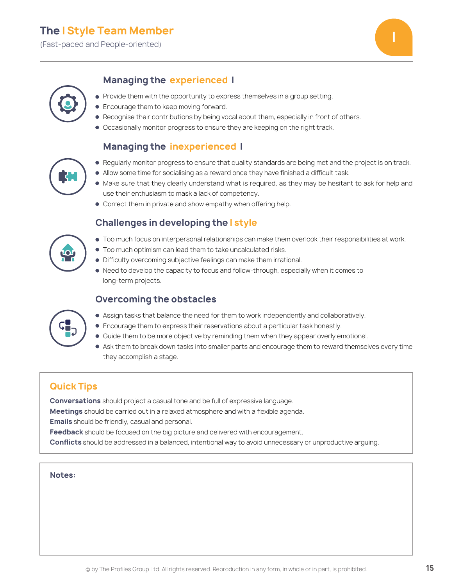(Fast-paced and People-oriented) **I**



### **Managing the experienced I**



#### • Provide them with the opportunity to express themselves in a group setting.

- **Encourage them to keep moving forward.**
- **Recognise their contributions by being vocal about them, especially in front of others.**
- Occasionally monitor progress to ensure they are keeping on the right track.

### **Managing the inexperienced I**

- 
- Regularly monitor progress to ensure that quality standards are being met and the project is on track.
- Allow some time for socialising as a reward once they have finished a difficult task.
- $\bullet$  Make sure that they clearly understand what is required, as they may be hesitant to ask for help and use their enthusiasm to mask a lack of competency.
- Correct them in private and show empathy when offering help.

### **Challenges in developing the I style**

- Too much focus on interpersonal relationships can make them overlook their responsibilities at work.
- $\bullet$  Too much optimism can lead them to take uncalculated risks.
- $\bullet$  Difficulty overcoming subjective feelings can make them irrational.
- Need to develop the capacity to focus and follow-through, especially when it comes to long-term projects.

### **Overcoming the obstacles**



- Assign tasks that balance the need for them to work independently and collaboratively.
- Encourage them to express their reservations about a particular task honestly.
- Guide them to be more objective by reminding them when they appear overly emotional.
- $\bullet$  Ask them to break down tasks into smaller parts and encourage them to reward themselves every time they accomplish a stage.

### **Quick Tips**

**Conversations** should project a casual tone and be full of expressive language. **Meetings** should be carried out in a relaxed atmosphere and with a flexible agenda. **Emails** should be friendly, casual and personal. **Feedback** should be focused on the big picture and delivered with encouragement.

**Conflicts** should be addressed in a balanced, intentional way to avoid unnecessary or unproductive arguing.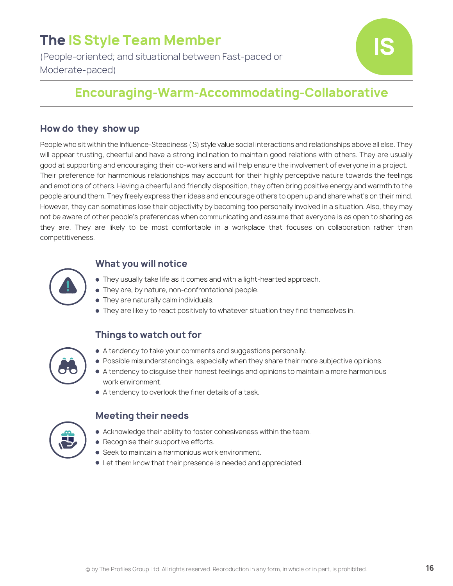# **The IS Style Team Member**

(People-oriented; and situational between Fast-paced or Moderate-paced)



### **Encouraging-Warm-Accommodating-Collaborative**

### **How do they show up**

People who sit within the Influence-Steadiness (IS) style value social interactions and relationships above all else. They will appear trusting, cheerful and have a strong inclination to maintain good relations with others. They are usually good at supporting and encouraging their co-workers and will help ensure the involvement of everyone in a project. Their preference for harmonious relationships may account for their highly perceptive nature towards the feelings and emotions of others. Having a cheerful and friendly disposition, they often bring positive energy and warmth to the people around them. They freely express their ideas and encourage others to open up and share what's on their mind. However, they can sometimes lose their objectivity by becoming too personally involved in a situation. Also, they may not be aware of other people's preferences when communicating and assume that everyone is as open to sharing as they are. They are likely to be most comfortable in a workplace that focuses on collaboration rather than competitiveness.



### **What you will notice**

- They usually take life as it comes and with a light-hearted approach.
- They are, by nature, non-confrontational people.
- **They are naturally calm individuals.**
- They are likely to react positively to whatever situation they find themselves in.

### **Things to watch out for**



- A tendency to take your comments and suggestions personally.
- **Possible misunderstandings, especially when they share their more subjective opinions.**
- A tendency to disguise their honest feelings and opinions to maintain a more harmonious work environment.
- A tendency to overlook the finer details of a task.



- Acknowledge their ability to foster cohesiveness within the team.
- $\bullet$  Recognise their supportive efforts.
- **Seek to maintain a harmonious work environment.**
- Let them know that their presence is needed and appreciated.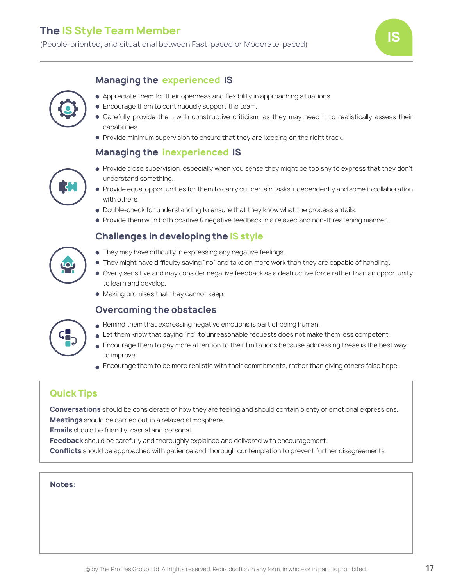### **The IS Style Team Member**

(People-oriented; and situational between Fast-paced or Moderate-paced) **IS**





- Appreciate them for their openness and flexibility in approaching situations.
- **Encourage them to continuously support the team.**
- Carefully provide them with constructive criticism, as they may need it to realistically assess their capabilities.
- **Provide minimum supervision to ensure that they are keeping on the right track.**

### **Managing the inexperienced IS**



- Provide close supervision, especially when you sense they might be too shy to express that they don't understand something.
- **Provide equal opportunities for them to carry out certain tasks independently and some in collaboration** with others.
- $\bullet$  Double-check for understanding to ensure that they know what the process entails.
- **Provide them with both positive & negative feedback in a relaxed and non-threatening manner.**

### **Challenges in developing the IS style**



- $\bullet$  They may have difficulty in expressing any negative feelings.
- $\bullet$  They might have difficulty saying "no" and take on more work than they are capable of handling.
- Overly sensitive and may consider negative feedback as a destructive force rather than an opportunity to learn and develop.
- $\bullet$  Making promises that they cannot keep.

### **Overcoming the obstacles**



- Remind them that expressing negative emotions is part of being human.
- Let them know that saying "no" to unreasonable requests does not make them less competent.
- **Encourage them to pay more attention to their limitations because addressing these is the best way** to improve.
- **Encourage them to be more realistic with their commitments, rather than giving others false hope.**

### **Quick Tips**

**Conversations** should be considerate of how they are feeling and should contain plenty of emotional expressions. **Meetings** should be carried out in a relaxed atmosphere.

**Emails** should be friendly, casual and personal.

**Feedback** should be carefully and thoroughly explained and delivered with encouragement.

**Conflicts** should be approached with patience and thorough contemplation to prevent further disagreements.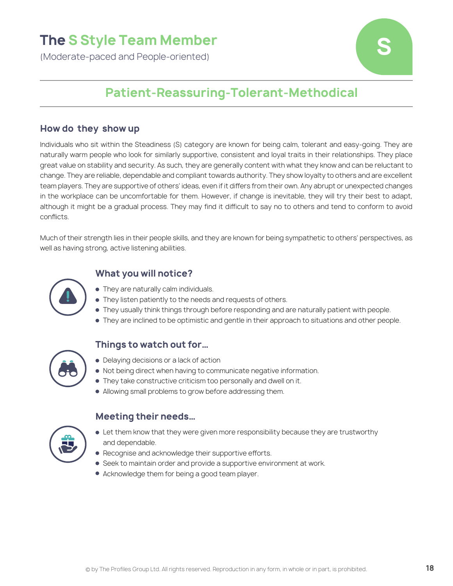## **The S Style Team Member**

(Moderate-paced and People-oriented)



### **Patient-Reassuring-Tolerant-Methodical**

#### **How do they show up**

Individuals who sit within the Steadiness (S) category are known for being calm, tolerant and easy-going. They are naturally warm people who look for similarly supportive, consistent and loyal traits in their relationships. They place great value on stability and security. As such, they are generally content with what they know and can be reluctant to change. They are reliable, dependable and compliant towards authority. They show loyalty to others and are excellent team players. They are supportive of others' ideas, even if it differs from their own. Any abrupt or unexpected changes in the workplace can be uncomfortable for them. However, if change is inevitable, they will try their best to adapt, although it might be a gradual process. They may find it difficult to say no to others and tend to conform to avoid conflicts.

Much of their strength lies in their people skills, and they are known for being sympathetic to others' perspectives, as well as having strong, active listening abilities.



### **What you will notice?**

- They are naturally calm individuals.
- **They listen patiently to the needs and requests of others.**
- They usually think things through before responding and are naturally patient with people.
- They are inclined to be optimistic and gentle in their approach to situations and other people.



#### **Things to watch out for…**

- Delaying decisions or a lack of action
- Not being direct when having to communicate negative information.
- They take constructive criticism too personally and dwell on it.
- Allowing small problems to grow before addressing them.



- Let them know that they were given more responsibility because they are trustworthy and dependable.
- $\bullet$  Recognise and acknowledge their supportive efforts.
- **Seek to maintain order and provide a supportive environment at work.**
- Acknowledge them for being a good team player.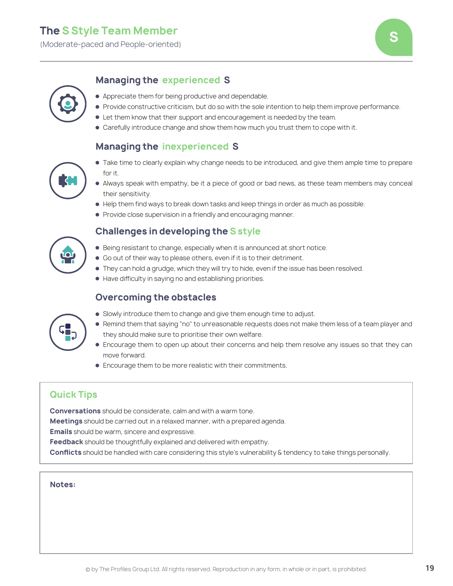(Moderate-paced and People-oriented) **S**

### **Managing the experienced S**



- Appreciate them for being productive and dependable.
- Provide constructive criticism, but do so with the sole intention to help them improve performance.
- Let them know that their support and encouragement is needed by the team.
- Carefully introduce change and show them how much you trust them to cope with it.

### **Managing the inexperienced S**

- 
- Take time to clearly explain why change needs to be introduced, and give them ample time to prepare for it.
- Always speak with empathy, be it a piece of good or bad news, as these team members may conceal their sensitivity.
- Help them find ways to break down tasks and keep things in order as much as possible.
- **Provide close supervision in a friendly and encouraging manner.**

### **Challenges in developing the S style**

- Being resistant to change, especially when it is announced at short notice.
- Go out of their way to please others, even if it is to their detriment.
- They can hold a grudge, which they will try to hide, even if the issue has been resolved.
- $\bullet$  Have difficulty in saying no and establishing priorities.

### **Overcoming the obstacles**



- Slowly introduce them to change and give them enough time to adjust.
- Remind them that saying "no" to unreasonable requests does not make them less of a team player and they should make sure to prioritise their own welfare.
- Encourage them to open up about their concerns and help them resolve any issues so that they can move forward.
- Encourage them to be more realistic with their commitments.

### **Quick Tips**

**Conversations** should be considerate, calm and with a warm tone.

**Meetings** should be carried out in a relaxed manner, with a prepared agenda.

**Emails** should be warm, sincere and expressive.

**Feedback** should be thoughtfully explained and delivered with empathy.

**Conflicts** should be handled with care considering this style's vulnerability & tendency to take things personally.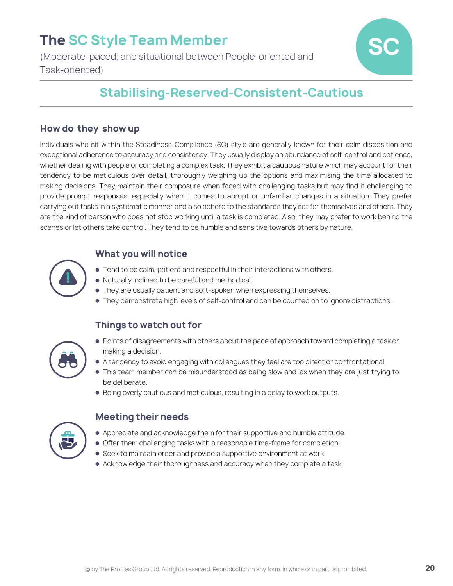## **The SC Style Team Member**

(Moderate-paced; and situational between People-oriented and Task-oriented)



### **Stabilising-Reserved-Consistent-Cautious**

### **How do they show up**

Individuals who sit within the Steadiness-Compliance (SC) style are generally known for their calm disposition and exceptional adherence to accuracy and consistency. They usually display an abundance of self-control and patience, whether dealing with people or completing a complex task. They exhibit a cautious nature which may account for their tendency to be meticulous over detail, thoroughly weighing up the options and maximising the time allocated to making decisions. They maintain their composure when faced with challenging tasks but may find it challenging to provide prompt responses, especially when it comes to abrupt or unfamiliar changes in a situation. They prefer carrying out tasks in a systematic manner and also adhere to the standards they set for themselves and others. They are the kind of person who does not stop working until a task is completed. Also, they may prefer to work behind the scenes or let others take control. They tend to be humble and sensitive towards others by nature.

### **What you will notice**

- Tend to be calm, patient and respectful in their interactions with others.
- Naturally inclined to be careful and methodical.
- They are usually patient and soft-spoken when expressing themselves.
- They demonstrate high levels of self-control and can be counted on to ignore distractions.

### **Things to watch out for**



- Points of disagreements with others about the pace of approach toward completing a task or making a decision.
- A tendency to avoid engaging with colleagues they feel are too direct or confrontational.
- This team member can be misunderstood as being slow and lax when they are just trying to be deliberate.
- **Being overly cautious and meticulous, resulting in a delay to work outputs.**

- Appreciate and acknowledge them for their supportive and humble attitude.
- **Offer them challenging tasks with a reasonable time-frame for completion.**
- Seek to maintain order and provide a supportive environment at work.
- Acknowledge their thoroughness and accuracy when they complete a task.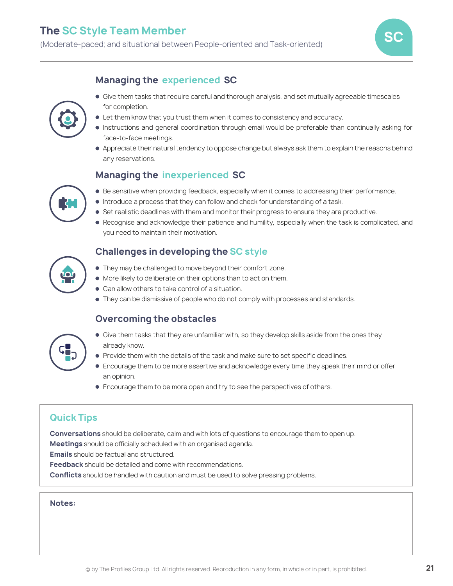

### **Managing the experienced SC**



- Give them tasks that require careful and thorough analysis, and set mutually agreeable timescales for completion.
- Let them know that you trust them when it comes to consistency and accuracy.
- Instructions and general coordination through email would be preferable than continually asking for face-to-face meetings.
- Appreciate their natural tendency to oppose change but always ask them to explain the reasons behind any reservations.

### **Managing the inexperienced SC**



- $\bullet$  Introduce a process that they can follow and check for understanding of a task.
- **Set realistic deadlines with them and monitor their progress to ensure they are productive.**
- Recognise and acknowledge their patience and humility, especially when the task is complicated, and you need to maintain their motivation.

### **Challenges in developing the SC style**

- They may be challenged to move beyond their comfort zone.
- More likely to deliberate on their options than to act on them.
- Can allow others to take control of a situation.
- $\bullet$  They can be dismissive of people who do not comply with processes and standards.

### **Overcoming the obstacles**



- Give them tasks that they are unfamiliar with, so they develop skills aside from the ones they already know.
- Provide them with the details of the task and make sure to set specific deadlines.
- Encourage them to be more assertive and acknowledge every time they speak their mind or offer an opinion.
- Encourage them to be more open and try to see the perspectives of others.

### **Quick Tips**

**Conversations** should be deliberate, calm and with lots of questions to encourage them to open up.

**Meetings** should be officially scheduled with an organised agenda.

**Emails** should be factual and structured.

**Feedback** should be detailed and come with recommendations.

**Conflicts** should be handled with caution and must be used to solve pressing problems.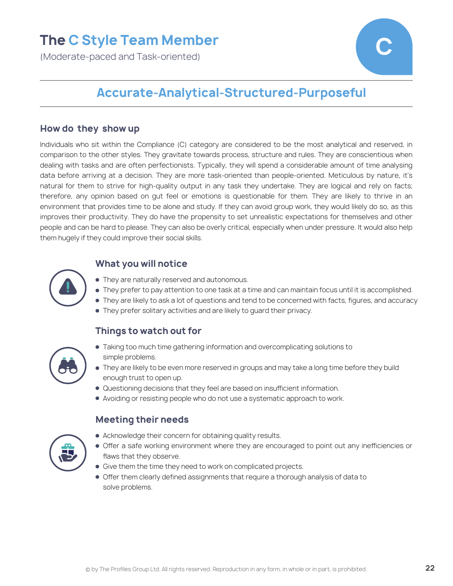### **The C Style Team Member**

(Moderate-paced and Task-oriented)



### **Accurate-Analytical-Structured-Purposeful**

#### **How do they show up**

Individuals who sit within the Compliance (C) category are considered to be the most analytical and reserved, in comparison to the other styles. They gravitate towards process, structure and rules. They are conscientious when dealing with tasks and are often perfectionists. Typically, they will spend a considerable amount of time analysing data before arriving at a decision. They are more task-oriented than people-oriented. Meticulous by nature, it's natural for them to strive for high-quality output in any task they undertake. They are logical and rely on facts; therefore, any opinion based on gut feel or emotions is questionable for them. They are likely to thrive in an environment that provides time to be alone and study. If they can avoid group work, they would likely do so, as this improves their productivity. They do have the propensity to set unrealistic expectations for themselves and other people and can be hard to please. They can also be overly critical, especially when under pressure. It would also help them hugely if they could improve their social skills.

### **What you will notice**



- They prefer to pay attention to one task at a time and can maintain focus until it is accomplished.
- They are likely to ask a lot of questions and tend to be concerned with facts, figures, and accuracy
- They prefer solitary activities and are likely to guard their privacy.

### **Things to watch out for**



- Taking too much time gathering information and overcomplicating solutions to simple problems.
- $\bullet$  They are likely to be even more reserved in groups and may take a long time before they build enough trust to open up.
- Questioning decisions that they feel are based on insufficient information.
- Avoiding or resisting people who do not use a systematic approach to work.



- Acknowledge their concern for obtaining quality results.
- Offer a safe working environment where they are encouraged to point out any inefficiencies or flaws that they observe.
- **Give them the time they need to work on complicated projects.**
- Offer them clearly defined assignments that require a thorough analysis of data to solve problems.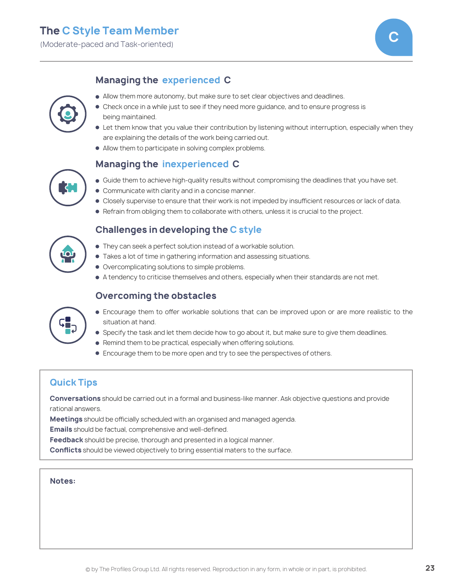(Moderate-paced and Task-oriented) **C**



### **Managing the experienced C**



- Allow them more autonomy, but make sure to set clear objectives and deadlines.
- Check once in a while just to see if they need more quidance, and to ensure progress is being maintained.
- Let them know that you value their contribution by listening without interruption, especially when they are explaining the details of the work being carried out.
- Allow them to participate in solving complex problems.

### **Managing the inexperienced C**



- Guide them to achieve high-quality results without compromising the deadlines that you have set.
- **Communicate with clarity and in a concise manner.**
- Closely supervise to ensure that their work is not impeded by insufficient resources or lack of data.
- Refrain from obliging them to collaborate with others, unless it is crucial to the project.

### **Challenges in developing the C style**

- They can seek a perfect solution instead of a workable solution.
- Takes a lot of time in gathering information and assessing situations.
- $\bullet$  Overcomplicating solutions to simple problems.
- A tendency to criticise themselves and others, especially when their standards are not met.

### **Overcoming the obstacles**



- Encourage them to offer workable solutions that can be improved upon or are more realistic to the situation at hand.
- **Specify the task and let them decide how to go about it, but make sure to give them deadlines.**
- $\bullet$  Remind them to be practical, especially when offering solutions.
- Encourage them to be more open and try to see the perspectives of others.

### **Quick Tips**

**Conversations** should be carried out in a formal and business-like manner. Ask objective questions and provide rational answers.

**Meetings** should be officially scheduled with an organised and managed agenda.

**Emails** should be factual, comprehensive and well-defined.

**Feedback** should be precise, thorough and presented in a logical manner.

**Conflicts** should be viewed objectively to bring essential maters to the surface.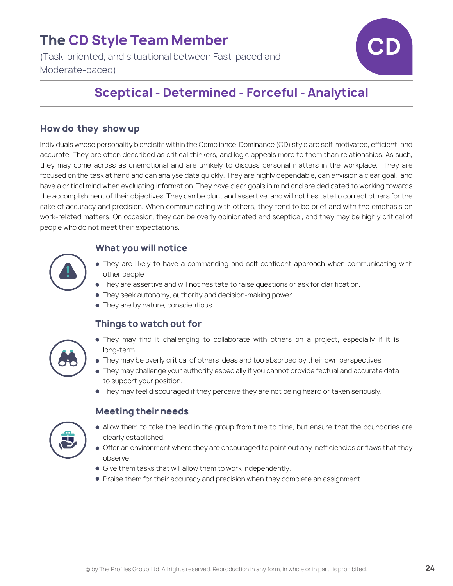### **The CD Style Team Member**

(Task-oriented; and situational between Fast-paced and Moderate-paced)



### **Sceptical - Determined - Forceful - Analytical**

### **How do they show up**

Individuals whose personality blend sits within the Compliance-Dominance (CD) style are self-motivated, efficient, and accurate. They are often described as critical thinkers, and logic appeals more to them than relationships. As such, they may come across as unemotional and are unlikely to discuss personal matters in the workplace. They are focused on the task at hand and can analyse data quickly. They are highly dependable, can envision a clear goal, and have a critical mind when evaluating information. They have clear goals in mind and are dedicated to working towards the accomplishment of their objectives. They can be blunt and assertive, and will not hesitate to correct others for the sake of accuracy and precision. When communicating with others, they tend to be brief and with the emphasis on work-related matters. On occasion, they can be overly opinionated and sceptical, and they may be highly critical of people who do not meet their expectations.

### **What you will notice**

- They are likely to have a commanding and self-confident approach when communicating with other people
- They are assertive and will not hesitate to raise questions or ask for clarification.
- They seek autonomy, authority and decision-making power.
- They are by nature, conscientious.

### **Things to watch out for**



- They may find it challenging to collaborate with others on a project, especially if it is long-term.
- $\bullet$  They may be overly critical of others ideas and too absorbed by their own perspectives.
- They may challenge your authority especially if you cannot provide factual and accurate data to support your position.
- They may feel discouraged if they perceive they are not being heard or taken seriously.



- Allow them to take the lead in the group from time to time, but ensure that the boundaries are clearly established.
- Offer an environment where they are encouraged to point out any inefficiencies or flaws that they observe.
- **Give them tasks that will allow them to work independently.**
- **Praise them for their accuracy and precision when they complete an assignment.**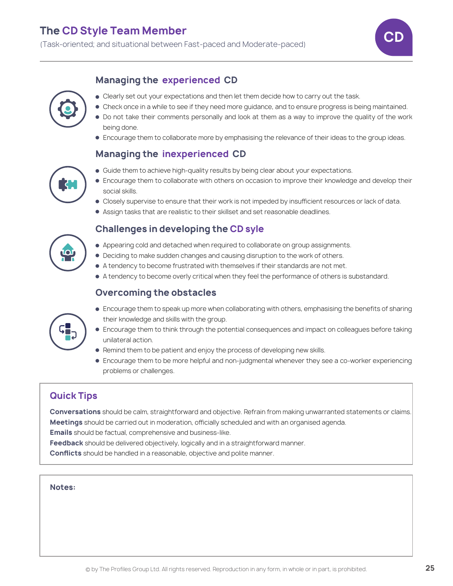

### **Managing the experienced CD**



- **Clearly set out your expectations and then let them decide how to carry out the task.**
- Check once in a while to see if they need more guidance, and to ensure progress is being maintained.
	- Do not take their comments personally and look at them as a way to improve the quality of the work being done.
	- **Encourage them to collaborate more by emphasising the relevance of their ideas to the group ideas.**

### **Managing the inexperienced CD**

- **Guide them to achieve high-quality results by being clear about your expectations.**
- 
- Encourage them to collaborate with others on occasion to improve their knowledge and develop their social skills.
- Closely supervise to ensure that their work is not impeded by insufficient resources or lack of data.
- Assign tasks that are realistic to their skillset and set reasonable deadlines.

### **Challenges in developing the CD syle**

- $\bullet$  Appearing cold and detached when required to collaborate on group assignments.
- Deciding to make sudden changes and causing disruption to the work of others.
- A tendency to become frustrated with themselves if their standards are not met.
- A tendency to become overly critical when they feel the performance of others is substandard.

### **Overcoming the obstacles**

- Encourage them to speak up more when collaborating with others, emphasising the benefits of sharing their knowledge and skills with the group.
- Encourage them to think through the potential consequences and impact on colleagues before taking unilateral action.
- Remind them to be patient and enjoy the process of developing new skills.
- Encourage them to be more helpful and non-judgmental whenever they see a co-worker experiencing problems or challenges.

### **Quick Tips**

**Conversations** should be calm, straightforward and objective. Refrain from making unwarranted statements or claims. **Meetings** should be carried out in moderation, officially scheduled and with an organised agenda.

**Emails** should be factual, comprehensive and business-like.

**Feedback** should be delivered objectively, logically and in a straightforward manner.

**Conflicts** should be handled in a reasonable, objective and polite manner.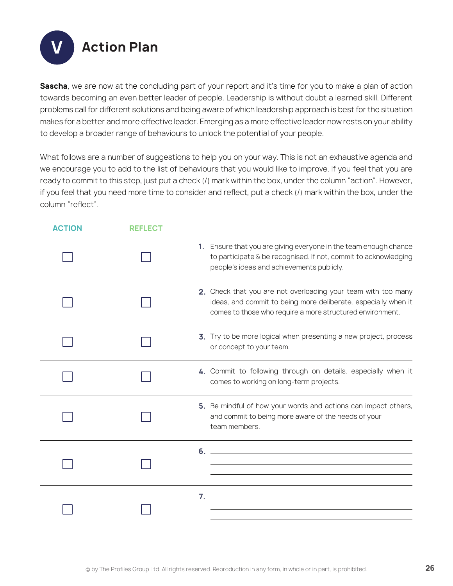**Action Plan** 

**Sascha**, we are now at the concluding part of your report and it's time for you to make a plan of action towards becoming an even better leader of people. Leadership is without doubt a learned skill. Different problems call for different solutions and being aware of which leadership approach is best for the situation makes for a better and more effective leader. Emerging as a more effective leader now rests on your ability to develop a broader range of behaviours to unlock the potential of your people.

What follows are a number of suggestions to help you on your way. This is not an exhaustive agenda and we encourage you to add to the list of behaviours that you would like to improve. If you feel that you are ready to commit to this step, just put a check (/) mark within the box, under the column "action". However, if you feel that you need more time to consider and reflect, put a check (/) mark within the box, under the column "reflect".

| <b>ACTION</b> | <b>REFLECT</b> |                                                                                                                                                                                              |
|---------------|----------------|----------------------------------------------------------------------------------------------------------------------------------------------------------------------------------------------|
|               |                | 1. Ensure that you are giving everyone in the team enough chance<br>to participate & be recognised. If not, commit to acknowledging<br>people's ideas and achievements publicly.             |
|               |                | 2. Check that you are not overloading your team with too many<br>ideas, and commit to being more deliberate, especially when it<br>comes to those who require a more structured environment. |
|               |                | 3. Try to be more logical when presenting a new project, process<br>or concept to your team.                                                                                                 |
|               |                | 4. Commit to following through on details, especially when it<br>comes to working on long-term projects.                                                                                     |
|               |                | 5. Be mindful of how your words and actions can impact others,<br>and commit to being more aware of the needs of your<br>team members.                                                       |
|               |                | $6.$ $\overline{\phantom{a}}$                                                                                                                                                                |
|               |                |                                                                                                                                                                                              |